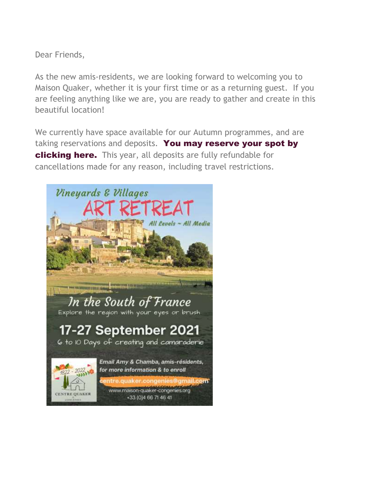Dear Friends,

As the new amis-residents, we are looking forward to welcoming you to Maison Quaker, whether it is your first time or as a returning guest. If you are feeling anything like we are, you are ready to gather and create in this beautiful location!

We currently have space available for our Autumn programmes, and are taking reservations and deposits. You may reserve your spot by clicking here. This year, all deposits are fully refundable for cancellations made for any reason, including travel restrictions.

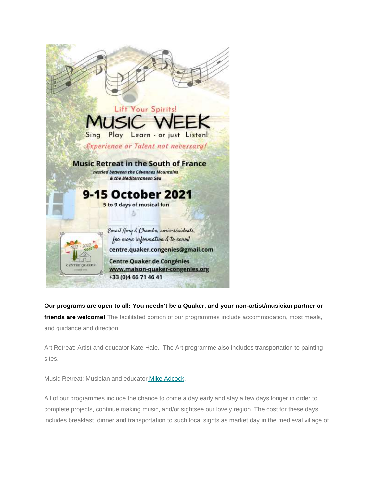

**Our programs are open to all: You needn't be a Quaker, and your non-artist/musician partner or friends are welcome!** The facilitated portion of our programmes include accommodation, most meals, and guidance and direction.

Art Retreat: Artist and educator Kate Hale. The Art programme also includes transportation to painting sites.

Music Retreat: Musician and educator [Mike Adcock](https://maison-quaker-congenies.us6.list-manage.com/track/click?u=e4ef91ca41c009452a483ca34&id=47a7ae4510&e=cb9914364f).

All of our programmes include the chance to come a day early and stay a few days longer in order to complete projects, continue making music, and/or sightsee our lovely region. The cost for these days includes breakfast, dinner and transportation to such local sights as market day in the medieval village of